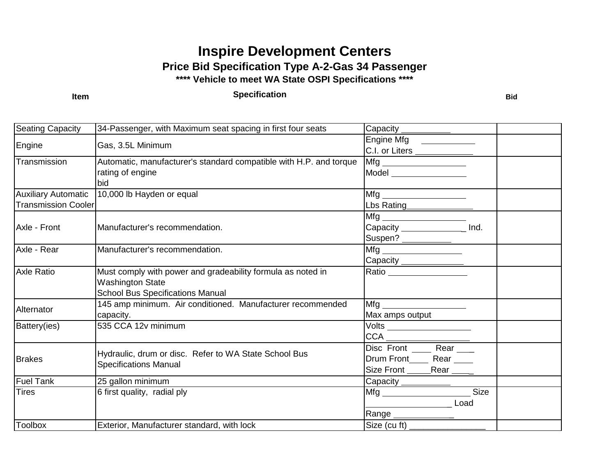## **Inspire Development Centers Price Bid Specification Type A-2-Gas 34 Passenger \*\*\*\* Vehicle to meet WA State OSPI Specifications \*\*\*\***

## **Item Bid Bid Bid Bid Bid Bid Bid Bid Bid Bid Bid Bid Bid Bid Bid Bid Bid Bid Bid Bid Bid Bid Bid Bid Bid Bid Bid Bid Bid Bid Bid Bid Bid Bid Bid Bid**

| <b>Seating Capacity</b>                                  | 34-Passenger, with Maximum seat spacing in first four seats                                                                       | Capacity <u>Capacity</u>                                                                                                                                                                                                                                                   |  |
|----------------------------------------------------------|-----------------------------------------------------------------------------------------------------------------------------------|----------------------------------------------------------------------------------------------------------------------------------------------------------------------------------------------------------------------------------------------------------------------------|--|
| Engine                                                   | Gas, 3.5L Minimum                                                                                                                 | Engine Mfg _________<br>C.I. or Liters ______________                                                                                                                                                                                                                      |  |
| Transmission                                             | Automatic, manufacturer's standard compatible with H.P. and torque<br>rating of engine<br>bid                                     | Model _________________                                                                                                                                                                                                                                                    |  |
| <b>Auxiliary Automatic</b><br><b>Transmission Cooler</b> | 10,000 lb Hayden or equal                                                                                                         | Lbs Rating<br><b>Example 2016</b>                                                                                                                                                                                                                                          |  |
| Axle - Front                                             | Manufacturer's recommendation.                                                                                                    | Capacity _______________<br>Ind.<br>Suspen? ____________                                                                                                                                                                                                                   |  |
| Axle - Rear                                              | Manufacturer's recommendation.                                                                                                    | Capacity _______________                                                                                                                                                                                                                                                   |  |
| <b>Axle Ratio</b>                                        | Must comply with power and gradeability formula as noted in<br><b>Washington State</b><br><b>School Bus Specifications Manual</b> | Ratio ___________________                                                                                                                                                                                                                                                  |  |
| Alternator                                               | 145 amp minimum. Air conditioned. Manufacturer recommended<br>capacity.                                                           | Mfg and the state of the state of the state of the state of the state of the state of the state of the state o<br>Max amps output                                                                                                                                          |  |
| Battery(ies)                                             | 535 CCA 12v minimum                                                                                                               | <u>Volts ___________________</u><br>CCA                                                                                                                                                                                                                                    |  |
| <b>Brakes</b>                                            | Hydraulic, drum or disc. Refer to WA State School Bus<br><b>Specifications Manual</b>                                             | Disc Front _______ Rear ____<br>Drum Front_______ Rear _____<br>Size Front _______Rear _____                                                                                                                                                                               |  |
| <b>Fuel Tank</b>                                         | 25 gallon minimum                                                                                                                 | Capacity ___________                                                                                                                                                                                                                                                       |  |
| <b>Tires</b>                                             | 6 first quality, radial ply                                                                                                       | Size<br>Load<br><u>and the community of the community of the community of the community of the community of the community of the community of the community of the community of the community of the community of the community of the community</u><br>Range ____________ |  |
| <b>Toolbox</b>                                           | Exterior, Manufacturer standard, with lock                                                                                        | Size (cu ft) $\frac{1}{\sqrt{1-\frac{1}{2}}\sqrt{1-\frac{1}{2}}\sqrt{1-\frac{1}{2}}\sqrt{1-\frac{1}{2}}\sqrt{1-\frac{1}{2}}$                                                                                                                                               |  |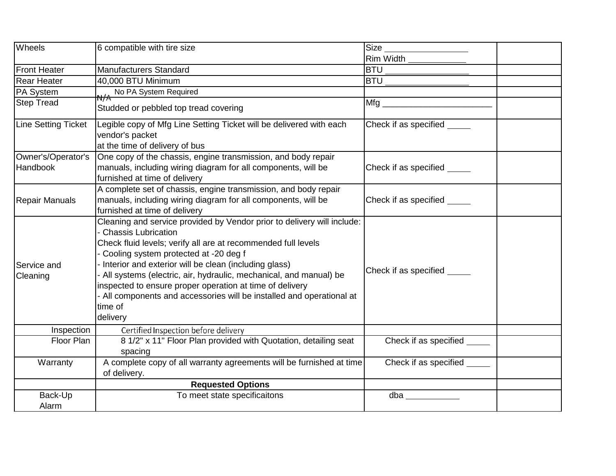| Wheels                                | 6 compatible with tire size                                                                                                                                                                                                                                                                                                                                                                                                                                                                              | Size                         |
|---------------------------------------|----------------------------------------------------------------------------------------------------------------------------------------------------------------------------------------------------------------------------------------------------------------------------------------------------------------------------------------------------------------------------------------------------------------------------------------------------------------------------------------------------------|------------------------------|
|                                       |                                                                                                                                                                                                                                                                                                                                                                                                                                                                                                          | Rim Width <b>Example</b>     |
| Front Heater                          | <b>Manufacturers Standard</b>                                                                                                                                                                                                                                                                                                                                                                                                                                                                            | <b>BTU</b>                   |
| <b>Rear Heater</b>                    | 40,000 BTU Minimum                                                                                                                                                                                                                                                                                                                                                                                                                                                                                       | <b>BTU</b>                   |
| PA System                             | N/A No PA System Required                                                                                                                                                                                                                                                                                                                                                                                                                                                                                |                              |
| <b>Step Tread</b>                     | Studded or pebbled top tread covering                                                                                                                                                                                                                                                                                                                                                                                                                                                                    | Mfg                          |
| Line Setting Ticket                   | Legible copy of Mfg Line Setting Ticket will be delivered with each<br>vendor's packet<br>at the time of delivery of bus                                                                                                                                                                                                                                                                                                                                                                                 | Check if as specified        |
| Owner's/Operator's<br><b>Handbook</b> | One copy of the chassis, engine transmission, and body repair<br>manuals, including wiring diagram for all components, will be<br>furnished at time of delivery                                                                                                                                                                                                                                                                                                                                          | Check if as specified _____  |
| Repair Manuals                        | A complete set of chassis, engine transmission, and body repair<br>manuals, including wiring diagram for all components, will be<br>furnished at time of delivery                                                                                                                                                                                                                                                                                                                                        | Check if as specified ______ |
| Service and<br>Cleaning               | Cleaning and service provided by Vendor prior to delivery will include:<br>- Chassis Lubrication<br>Check fluid levels; verify all are at recommended full levels<br>- Cooling system protected at -20 deg f<br>Interior and exterior will be clean (including glass)<br>- All systems (electric, air, hydraulic, mechanical, and manual) be<br>inspected to ensure proper operation at time of delivery<br>- All components and accessories will be installed and operational at<br>time of<br>delivery | Check if as specified        |
| Inspection                            | Certified Inspection before delivery                                                                                                                                                                                                                                                                                                                                                                                                                                                                     |                              |
| Floor Plan                            | 8 1/2" x 11" Floor Plan provided with Quotation, detailing seat<br>spacing                                                                                                                                                                                                                                                                                                                                                                                                                               | Check if as specified ______ |
| Warranty                              | A complete copy of all warranty agreements will be furnished at time<br>of delivery.                                                                                                                                                                                                                                                                                                                                                                                                                     | Check if as specified        |
|                                       | <b>Requested Options</b>                                                                                                                                                                                                                                                                                                                                                                                                                                                                                 |                              |
| Back-Up<br>Alarm                      | To meet state specificaitons                                                                                                                                                                                                                                                                                                                                                                                                                                                                             | dba                          |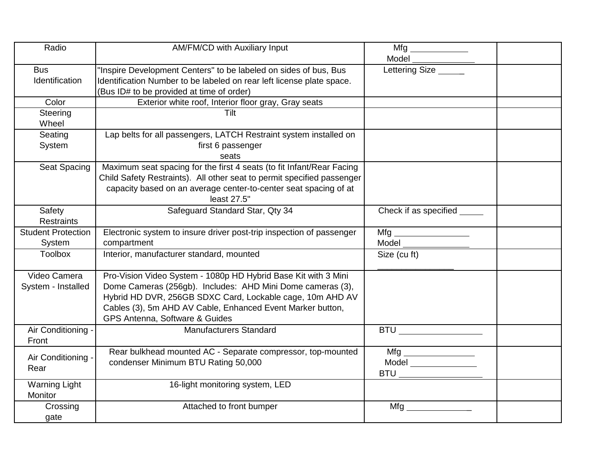| Radio                               | AM/FM/CD with Auxiliary Input                                                                                                                                                                                                                                                             | Model                       |  |
|-------------------------------------|-------------------------------------------------------------------------------------------------------------------------------------------------------------------------------------------------------------------------------------------------------------------------------------------|-----------------------------|--|
| <b>Bus</b><br>Identification        | "Inspire Development Centers" to be labeled on sides of bus, Bus<br>Identification Number to be labeled on rear left license plate space.<br>(Bus ID# to be provided at time of order)                                                                                                    | Lettering Size              |  |
| Color                               | Exterior white roof, Interior floor gray, Gray seats                                                                                                                                                                                                                                      |                             |  |
| Steering<br>Wheel                   | Tilt                                                                                                                                                                                                                                                                                      |                             |  |
| Seating<br>System                   | Lap belts for all passengers, LATCH Restraint system installed on<br>first 6 passenger<br>seats                                                                                                                                                                                           |                             |  |
| Seat Spacing                        | Maximum seat spacing for the first 4 seats (to fit Infant/Rear Facing<br>Child Safety Restraints). All other seat to permit specified passenger<br>capacity based on an average center-to-center seat spacing of at<br>least 27.5"                                                        |                             |  |
| Safety<br><b>Restraints</b>         | Safeguard Standard Star, Qty 34                                                                                                                                                                                                                                                           | Check if as specified _____ |  |
| <b>Student Protection</b><br>System | Electronic system to insure driver post-trip inspection of passenger<br>compartment                                                                                                                                                                                                       | <b>Model Model</b>          |  |
| <b>Toolbox</b>                      | Interior, manufacturer standard, mounted                                                                                                                                                                                                                                                  | Size (cu ft)                |  |
| Video Camera<br>System - Installed  | Pro-Vision Video System - 1080p HD Hybrid Base Kit with 3 Mini<br>Dome Cameras (256gb). Includes: AHD Mini Dome cameras (3),<br>Hybrid HD DVR, 256GB SDXC Card, Lockable cage, 10m AHD AV<br>Cables (3), 5m AHD AV Cable, Enhanced Event Marker button,<br>GPS Antenna, Software & Guides |                             |  |
| Air Conditioning -<br>Front         | <b>Manufacturers Standard</b>                                                                                                                                                                                                                                                             | <b>BTU</b>                  |  |
| Air Conditioning<br>Rear            | Rear bulkhead mounted AC - Separate compressor, top-mounted<br>condenser Minimum BTU Rating 50,000                                                                                                                                                                                        | Mfg<br>Model                |  |
| <b>Warning Light</b><br>Monitor     | 16-light monitoring system, LED                                                                                                                                                                                                                                                           |                             |  |
| Crossing<br>gate                    | Attached to front bumper                                                                                                                                                                                                                                                                  | Mfg                         |  |